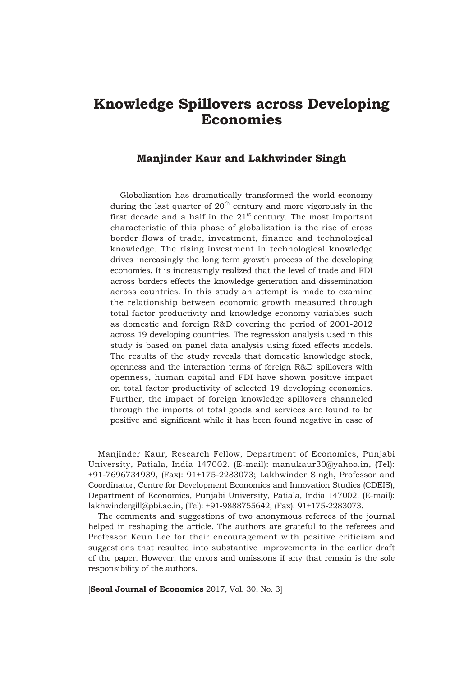# **Knowledge Spillovers across Developing Economies**

### **Manjinder Kaur and Lakhwinder Singh**

Globalization has dramatically transformed the world economy during the last quarter of  $20<sup>th</sup>$  century and more vigorously in the first decade and a half in the  $21<sup>st</sup>$  century. The most important characteristic of this phase of globalization is the rise of cross border flows of trade, investment, finance and technological knowledge. The rising investment in technological knowledge drives increasingly the long term growth process of the developing economies. It is increasingly realized that the level of trade and FDI across borders effects the knowledge generation and dissemination across countries. In this study an attempt is made to examine the relationship between economic growth measured through total factor productivity and knowledge economy variables such as domestic and foreign R&D covering the period of 2001-2012 across 19 developing countries. The regression analysis used in this study is based on panel data analysis using fixed effects models. The results of the study reveals that domestic knowledge stock, openness and the interaction terms of foreign R&D spillovers with openness, human capital and FDI have shown positive impact on total factor productivity of selected 19 developing economies. Further, the impact of foreign knowledge spillovers channeled through the imports of total goods and services are found to be positive and significant while it has been found negative in case of

Manjinder Kaur, Research Fellow, Department of Economics, Punjabi University, Patiala, India 147002. (E-mail): manukaur30@yahoo.in, (Tel): +91-7696734939, (Fax): 91+175-2283073; Lakhwinder Singh, Professor and Coordinator, Centre for Development Economics and Innovation Studies (CDEIS), Department of Economics, Punjabi University, Patiala, India 147002. (E-mail): lakhwindergill@pbi.ac.in, (Tel): +91-9888755642, (Fax): 91+175-2283073.

The comments and suggestions of two anonymous referees of the journal helped in reshaping the article. The authors are grateful to the referees and Professor Keun Lee for their encouragement with positive criticism and suggestions that resulted into substantive improvements in the earlier draft of the paper. However, the errors and omissions if any that remain is the sole responsibility of the authors.

[**Seoul Journal of Economics** 2017, Vol. 30, No. 3]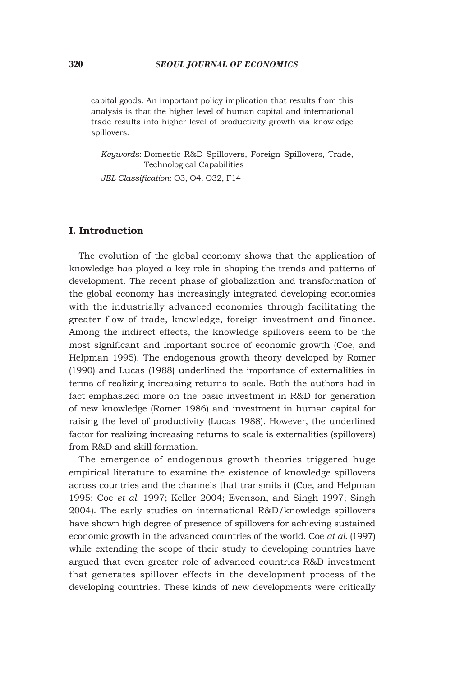capital goods. An important policy implication that results from this analysis is that the higher level of human capital and international trade results into higher level of productivity growth via knowledge spillovers.

*Keywords*: Domestic R&D Spillovers, Foreign Spillovers, Trade, Technological Capabilities

*JEL Classification*: O3, O4, O32, F14

### **I. Introduction**

The evolution of the global economy shows that the application of knowledge has played a key role in shaping the trends and patterns of development. The recent phase of globalization and transformation of the global economy has increasingly integrated developing economies with the industrially advanced economies through facilitating the greater flow of trade, knowledge, foreign investment and finance. Among the indirect effects, the knowledge spillovers seem to be the most significant and important source of economic growth (Coe, and Helpman 1995). The endogenous growth theory developed by Romer (1990) and Lucas (1988) underlined the importance of externalities in terms of realizing increasing returns to scale. Both the authors had in fact emphasized more on the basic investment in R&D for generation of new knowledge (Romer 1986) and investment in human capital for raising the level of productivity (Lucas 1988). However, the underlined factor for realizing increasing returns to scale is externalities (spillovers) from R&D and skill formation.

The emergence of endogenous growth theories triggered huge empirical literature to examine the existence of knowledge spillovers across countries and the channels that transmits it (Coe, and Helpman 1995; Coe *et al.* 1997; Keller 2004; Evenson, and Singh 1997; Singh 2004). The early studies on international R&D/knowledge spillovers have shown high degree of presence of spillovers for achieving sustained economic growth in the advanced countries of the world. Coe *at al.* (1997) while extending the scope of their study to developing countries have argued that even greater role of advanced countries R&D investment that generates spillover effects in the development process of the developing countries. These kinds of new developments were critically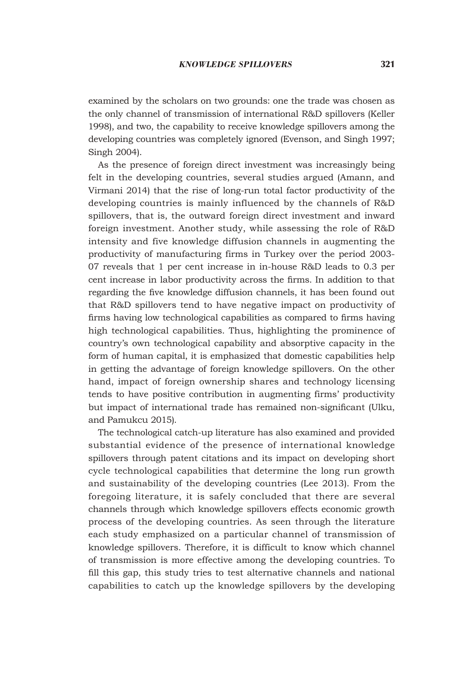examined by the scholars on two grounds: one the trade was chosen as the only channel of transmission of international R&D spillovers (Keller 1998), and two, the capability to receive knowledge spillovers among the developing countries was completely ignored (Evenson, and Singh 1997; Singh 2004).

As the presence of foreign direct investment was increasingly being felt in the developing countries, several studies argued (Amann, and Virmani 2014) that the rise of long-run total factor productivity of the developing countries is mainly influenced by the channels of R&D spillovers, that is, the outward foreign direct investment and inward foreign investment. Another study, while assessing the role of R&D intensity and five knowledge diffusion channels in augmenting the productivity of manufacturing firms in Turkey over the period 2003- 07 reveals that 1 per cent increase in in-house R&D leads to 0.3 per cent increase in labor productivity across the firms. In addition to that regarding the five knowledge diffusion channels, it has been found out that R&D spillovers tend to have negative impact on productivity of firms having low technological capabilities as compared to firms having high technological capabilities. Thus, highlighting the prominence of country's own technological capability and absorptive capacity in the form of human capital, it is emphasized that domestic capabilities help in getting the advantage of foreign knowledge spillovers. On the other hand, impact of foreign ownership shares and technology licensing tends to have positive contribution in augmenting firms' productivity but impact of international trade has remained non-significant (Ulku, and Pamukcu 2015).

The technological catch-up literature has also examined and provided substantial evidence of the presence of international knowledge spillovers through patent citations and its impact on developing short cycle technological capabilities that determine the long run growth and sustainability of the developing countries (Lee 2013). From the foregoing literature, it is safely concluded that there are several channels through which knowledge spillovers effects economic growth process of the developing countries. As seen through the literature each study emphasized on a particular channel of transmission of knowledge spillovers. Therefore, it is difficult to know which channel of transmission is more effective among the developing countries. To fill this gap, this study tries to test alternative channels and national capabilities to catch up the knowledge spillovers by the developing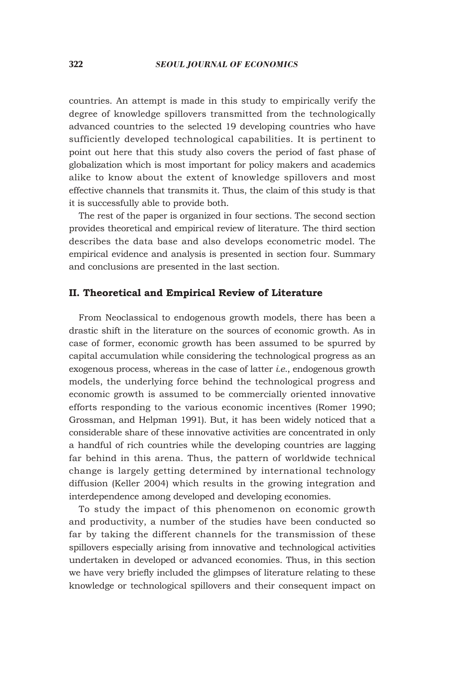countries. An attempt is made in this study to empirically verify the degree of knowledge spillovers transmitted from the technologically advanced countries to the selected 19 developing countries who have sufficiently developed technological capabilities. It is pertinent to point out here that this study also covers the period of fast phase of globalization which is most important for policy makers and academics alike to know about the extent of knowledge spillovers and most effective channels that transmits it. Thus, the claim of this study is that it is successfully able to provide both.

The rest of the paper is organized in four sections. The second section provides theoretical and empirical review of literature. The third section describes the data base and also develops econometric model. The empirical evidence and analysis is presented in section four. Summary and conclusions are presented in the last section.

### **II. Theoretical and Empirical Review of Literature**

From Neoclassical to endogenous growth models, there has been a drastic shift in the literature on the sources of economic growth. As in case of former, economic growth has been assumed to be spurred by capital accumulation while considering the technological progress as an exogenous process, whereas in the case of latter *i.e*., endogenous growth models, the underlying force behind the technological progress and economic growth is assumed to be commercially oriented innovative efforts responding to the various economic incentives (Romer 1990; Grossman, and Helpman 1991). But, it has been widely noticed that a considerable share of these innovative activities are concentrated in only a handful of rich countries while the developing countries are lagging far behind in this arena. Thus, the pattern of worldwide technical change is largely getting determined by international technology diffusion (Keller 2004) which results in the growing integration and interdependence among developed and developing economies.

To study the impact of this phenomenon on economic growth and productivity, a number of the studies have been conducted so far by taking the different channels for the transmission of these spillovers especially arising from innovative and technological activities undertaken in developed or advanced economies. Thus, in this section we have very briefly included the glimpses of literature relating to these knowledge or technological spillovers and their consequent impact on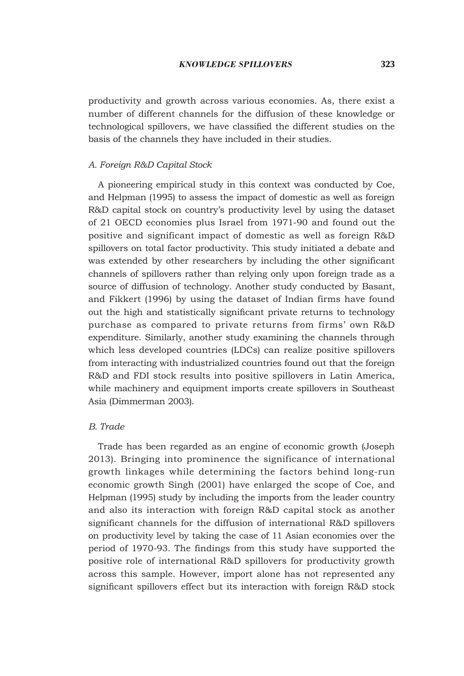productivity and growth across various economies. As, there exist a number of different channels for the diffusion of these knowledge or technological spillovers, we have classified the different studies on the basis of the channels they have included in their studies.

#### *A. Foreign R&D Capital Stock*

A pioneering empirical study in this context was conducted by Coe, and Helpman (1995) to assess the impact of domestic as well as foreign R&D capital stock on country's productivity level by using the dataset of 21 OECD economies plus Israel from 1971-90 and found out the positive and significant impact of domestic as well as foreign R&D spillovers on total factor productivity. This study initiated a debate and was extended by other researchers by including the other significant channels of spillovers rather than relying only upon foreign trade as a source of diffusion of technology. Another study conducted by Basant, and Fikkert (1996) by using the dataset of Indian firms have found out the high and statistically significant private returns to technology purchase as compared to private returns from firms' own R&D expenditure. Similarly, another study examining the channels through which less developed countries (LDCs) can realize positive spillovers from interacting with industrialized countries found out that the foreign R&D and FDI stock results into positive spillovers in Latin America, while machinery and equipment imports create spillovers in Southeast Asia (Dimmerman 2003).

### *B. Trade*

Trade has been regarded as an engine of economic growth (Joseph 2013). Bringing into prominence the significance of international growth linkages while determining the factors behind long-run economic growth Singh (2001) have enlarged the scope of Coe, and Helpman (1995) study by including the imports from the leader country and also its interaction with foreign R&D capital stock as another significant channels for the diffusion of international R&D spillovers on productivity level by taking the case of 11 Asian economies over the period of 1970-93. The findings from this study have supported the positive role of international R&D spillovers for productivity growth across this sample. However, import alone has not represented any significant spillovers effect but its interaction with foreign R&D stock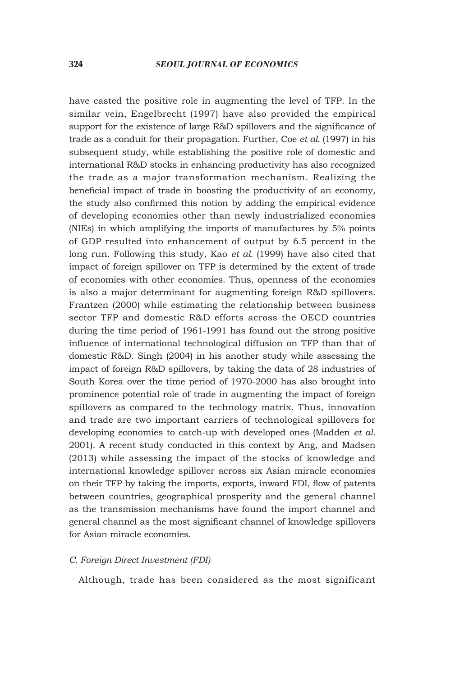have casted the positive role in augmenting the level of TFP. In the similar vein, Engelbrecht (1997) have also provided the empirical support for the existence of large R&D spillovers and the significance of trade as a conduit for their propagation. Further, Coe *et al.* (1997) in his subsequent study, while establishing the positive role of domestic and international R&D stocks in enhancing productivity has also recognized the trade as a major transformation mechanism. Realizing the beneficial impact of trade in boosting the productivity of an economy, the study also confirmed this notion by adding the empirical evidence of developing economies other than newly industrialized economies (NIEs) in which amplifying the imports of manufactures by 5% points of GDP resulted into enhancement of output by 6.5 percent in the long run. Following this study, Kao *et al.* (1999) have also cited that impact of foreign spillover on TFP is determined by the extent of trade of economies with other economies. Thus, openness of the economies is also a major determinant for augmenting foreign R&D spillovers. Frantzen (2000) while estimating the relationship between business sector TFP and domestic R&D efforts across the OECD countries during the time period of 1961-1991 has found out the strong positive influence of international technological diffusion on TFP than that of domestic R&D. Singh (2004) in his another study while assessing the impact of foreign R&D spillovers, by taking the data of 28 industries of South Korea over the time period of 1970-2000 has also brought into prominence potential role of trade in augmenting the impact of foreign spillovers as compared to the technology matrix. Thus, innovation and trade are two important carriers of technological spillovers for developing economies to catch-up with developed ones (Madden *et al.* 2001). A recent study conducted in this context by Ang, and Madsen (2013) while assessing the impact of the stocks of knowledge and international knowledge spillover across six Asian miracle economies on their TFP by taking the imports, exports, inward FDI, flow of patents between countries, geographical prosperity and the general channel as the transmission mechanisms have found the import channel and general channel as the most significant channel of knowledge spillovers for Asian miracle economies.

#### *C. Foreign Direct Investment (FDI)*

Although, trade has been considered as the most significant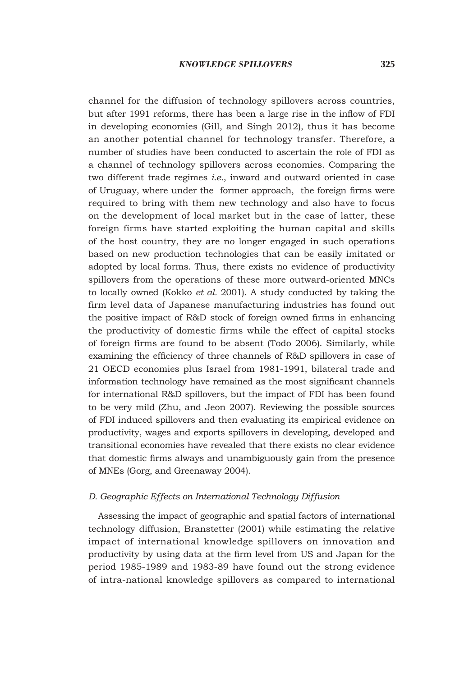channel for the diffusion of technology spillovers across countries, but after 1991 reforms, there has been a large rise in the inflow of FDI in developing economies (Gill, and Singh 2012), thus it has become an another potential channel for technology transfer. Therefore, a number of studies have been conducted to ascertain the role of FDI as a channel of technology spillovers across economies. Comparing the two different trade regimes *i.e.*, inward and outward oriented in case of Uruguay, where under the former approach, the foreign firms were required to bring with them new technology and also have to focus on the development of local market but in the case of latter, these foreign firms have started exploiting the human capital and skills of the host country, they are no longer engaged in such operations based on new production technologies that can be easily imitated or adopted by local forms. Thus, there exists no evidence of productivity spillovers from the operations of these more outward-oriented MNCs to locally owned (Kokko *et al.* 2001). A study conducted by taking the firm level data of Japanese manufacturing industries has found out the positive impact of R&D stock of foreign owned firms in enhancing the productivity of domestic firms while the effect of capital stocks of foreign firms are found to be absent (Todo 2006). Similarly, while examining the efficiency of three channels of R&D spillovers in case of 21 OECD economies plus Israel from 1981-1991, bilateral trade and information technology have remained as the most significant channels for international R&D spillovers, but the impact of FDI has been found to be very mild (Zhu, and Jeon 2007). Reviewing the possible sources of FDI induced spillovers and then evaluating its empirical evidence on productivity, wages and exports spillovers in developing, developed and transitional economies have revealed that there exists no clear evidence that domestic firms always and unambiguously gain from the presence of MNEs (Gorg, and Greenaway 2004).

### *D. Geographic Effects on International Technology Diffusion*

Assessing the impact of geographic and spatial factors of international technology diffusion, Branstetter (2001) while estimating the relative impact of international knowledge spillovers on innovation and productivity by using data at the firm level from US and Japan for the period 1985-1989 and 1983-89 have found out the strong evidence of intra-national knowledge spillovers as compared to international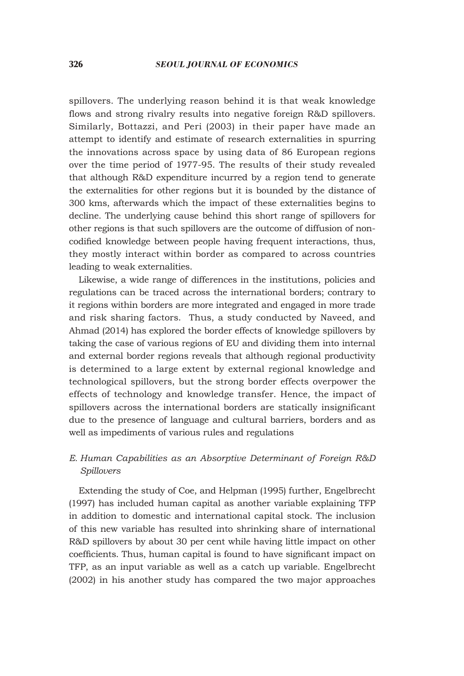spillovers. The underlying reason behind it is that weak knowledge flows and strong rivalry results into negative foreign R&D spillovers. Similarly, Bottazzi, and Peri (2003) in their paper have made an attempt to identify and estimate of research externalities in spurring the innovations across space by using data of 86 European regions over the time period of 1977-95. The results of their study revealed that although R&D expenditure incurred by a region tend to generate the externalities for other regions but it is bounded by the distance of 300 kms, afterwards which the impact of these externalities begins to decline. The underlying cause behind this short range of spillovers for other regions is that such spillovers are the outcome of diffusion of noncodified knowledge between people having frequent interactions, thus, they mostly interact within border as compared to across countries leading to weak externalities.

Likewise, a wide range of differences in the institutions, policies and regulations can be traced across the international borders; contrary to it regions within borders are more integrated and engaged in more trade and risk sharing factors. Thus, a study conducted by Naveed, and Ahmad (2014) has explored the border effects of knowledge spillovers by taking the case of various regions of EU and dividing them into internal and external border regions reveals that although regional productivity is determined to a large extent by external regional knowledge and technological spillovers, but the strong border effects overpower the effects of technology and knowledge transfer. Hence, the impact of spillovers across the international borders are statically insignificant due to the presence of language and cultural barriers, borders and as well as impediments of various rules and regulations

# *E. Human Capabilities as an Absorptive Determinant of Foreign R&D Spillovers*

Extending the study of Coe, and Helpman (1995) further, Engelbrecht (1997) has included human capital as another variable explaining TFP in addition to domestic and international capital stock. The inclusion of this new variable has resulted into shrinking share of international R&D spillovers by about 30 per cent while having little impact on other coefficients. Thus, human capital is found to have significant impact on TFP, as an input variable as well as a catch up variable. Engelbrecht (2002) in his another study has compared the two major approaches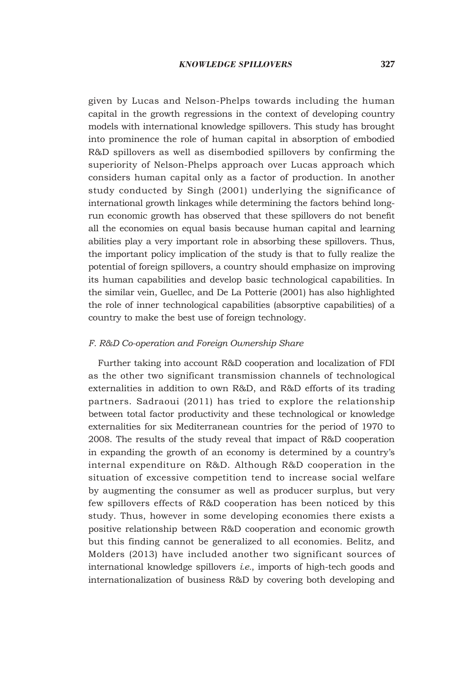given by Lucas and Nelson-Phelps towards including the human capital in the growth regressions in the context of developing country models with international knowledge spillovers. This study has brought into prominence the role of human capital in absorption of embodied R&D spillovers as well as disembodied spillovers by confirming the superiority of Nelson-Phelps approach over Lucas approach which considers human capital only as a factor of production. In another study conducted by Singh (2001) underlying the significance of international growth linkages while determining the factors behind longrun economic growth has observed that these spillovers do not benefit all the economies on equal basis because human capital and learning abilities play a very important role in absorbing these spillovers. Thus, the important policy implication of the study is that to fully realize the potential of foreign spillovers, a country should emphasize on improving its human capabilities and develop basic technological capabilities. In the similar vein, Guellec, and De La Potterie (2001) has also highlighted the role of inner technological capabilities (absorptive capabilities) of a country to make the best use of foreign technology.

### *F. R&D Co-operation and Foreign Ownership Share*

Further taking into account R&D cooperation and localization of FDI as the other two significant transmission channels of technological externalities in addition to own R&D, and R&D efforts of its trading partners. Sadraoui (2011) has tried to explore the relationship between total factor productivity and these technological or knowledge externalities for six Mediterranean countries for the period of 1970 to 2008. The results of the study reveal that impact of R&D cooperation in expanding the growth of an economy is determined by a country's internal expenditure on R&D. Although R&D cooperation in the situation of excessive competition tend to increase social welfare by augmenting the consumer as well as producer surplus, but very few spillovers effects of R&D cooperation has been noticed by this study. Thus, however in some developing economies there exists a positive relationship between R&D cooperation and economic growth but this finding cannot be generalized to all economies. Belitz, and Molders (2013) have included another two significant sources of international knowledge spillovers *i.e.*, imports of high-tech goods and internationalization of business R&D by covering both developing and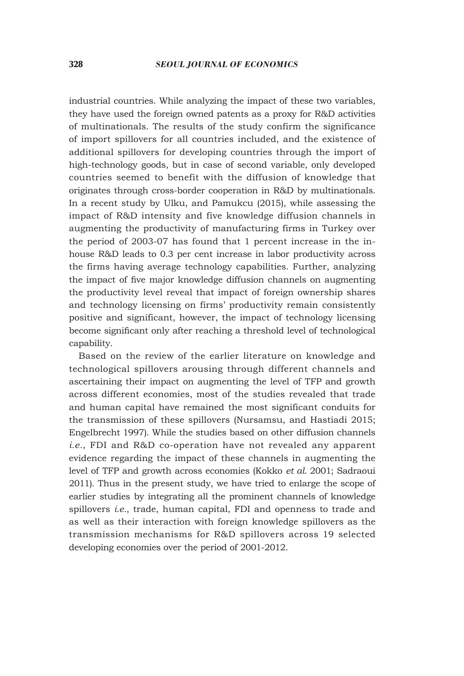industrial countries. While analyzing the impact of these two variables, they have used the foreign owned patents as a proxy for R&D activities of multinationals. The results of the study confirm the significance of import spillovers for all countries included, and the existence of additional spillovers for developing countries through the import of high-technology goods, but in case of second variable, only developed countries seemed to benefit with the diffusion of knowledge that originates through cross-border cooperation in R&D by multinationals. In a recent study by Ulku, and Pamukcu (2015), while assessing the impact of R&D intensity and five knowledge diffusion channels in augmenting the productivity of manufacturing firms in Turkey over the period of 2003-07 has found that 1 percent increase in the inhouse R&D leads to 0.3 per cent increase in labor productivity across the firms having average technology capabilities. Further, analyzing the impact of five major knowledge diffusion channels on augmenting the productivity level reveal that impact of foreign ownership shares and technology licensing on firms' productivity remain consistently positive and significant, however, the impact of technology licensing become significant only after reaching a threshold level of technological capability.

Based on the review of the earlier literature on knowledge and technological spillovers arousing through different channels and ascertaining their impact on augmenting the level of TFP and growth across different economies, most of the studies revealed that trade and human capital have remained the most significant conduits for the transmission of these spillovers (Nursamsu, and Hastiadi 2015; Engelbrecht 1997). While the studies based on other diffusion channels *i.e.*, FDI and R&D co-operation have not revealed any apparent evidence regarding the impact of these channels in augmenting the level of TFP and growth across economies (Kokko *et al.* 2001; Sadraoui 2011). Thus in the present study, we have tried to enlarge the scope of earlier studies by integrating all the prominent channels of knowledge spillovers *i.e.*, trade, human capital, FDI and openness to trade and as well as their interaction with foreign knowledge spillovers as the transmission mechanisms for R&D spillovers across 19 selected developing economies over the period of 2001-2012.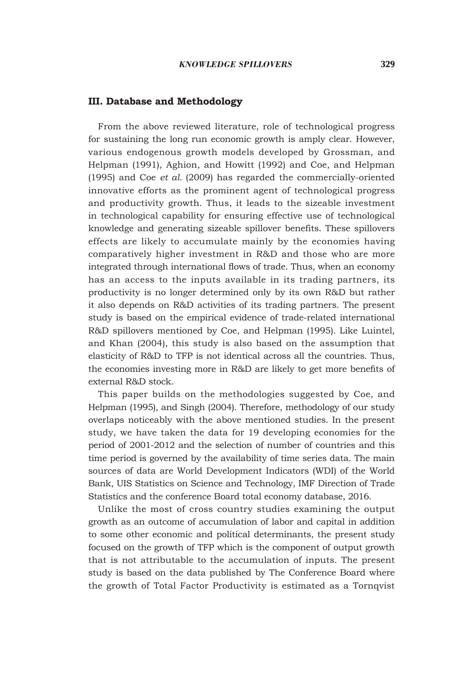#### **III. Database and Methodology**

From the above reviewed literature, role of technological progress for sustaining the long run economic growth is amply clear. However, various endogenous growth models developed by Grossman, and Helpman (1991), Aghion, and Howitt (1992) and Coe, and Helpman (1995) and Coe *et al.* (2009) has regarded the commercially-oriented innovative efforts as the prominent agent of technological progress and productivity growth. Thus, it leads to the sizeable investment in technological capability for ensuring effective use of technological knowledge and generating sizeable spillover benefits. These spillovers effects are likely to accumulate mainly by the economies having comparatively higher investment in R&D and those who are more integrated through international flows of trade. Thus, when an economy has an access to the inputs available in its trading partners, its productivity is no longer determined only by its own R&D but rather it also depends on R&D activities of its trading partners. The present study is based on the empirical evidence of trade-related international R&D spillovers mentioned by Coe, and Helpman (1995). Like Luintel, and Khan (2004), this study is also based on the assumption that elasticity of R&D to TFP is not identical across all the countries. Thus, the economies investing more in R&D are likely to get more benefits of external R&D stock.

This paper builds on the methodologies suggested by Coe, and Helpman (1995), and Singh (2004). Therefore, methodology of our study overlaps noticeably with the above mentioned studies. In the present study, we have taken the data for 19 developing economies for the period of 2001-2012 and the selection of number of countries and this time period is governed by the availability of time series data. The main sources of data are World Development Indicators (WDI) of the World Bank, UIS Statistics on Science and Technology, IMF Direction of Trade Statistics and the conference Board total economy database, 2016.

Unlike the most of cross country studies examining the output growth as an outcome of accumulation of labor and capital in addition to some other economic and political determinants, the present study focused on the growth of TFP which is the component of output growth that is not attributable to the accumulation of inputs. The present study is based on the data published by The Conference Board where the growth of Total Factor Productivity is estimated as a Tornqvist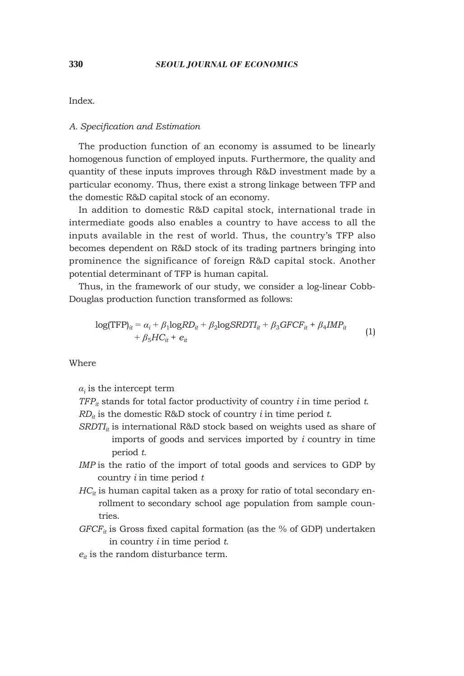Index.

### *A. Specification and Estimation*

The production function of an economy is assumed to be linearly homogenous function of employed inputs. Furthermore, the quality and quantity of these inputs improves through R&D investment made by a particular economy. Thus, there exist a strong linkage between TFP and the domestic R&D capital stock of an economy.

In addition to domestic R&D capital stock, international trade in intermediate goods also enables a country to have access to all the inputs available in the rest of world. Thus, the country's TFP also becomes dependent on R&D stock of its trading partners bringing into prominence the significance of foreign R&D capital stock. Another potential determinant of TFP is human capital.

Thus, in the framework of our study, we consider a log-linear Cobb-Douglas production function transformed as follows:

$$
log(TFP)it = \alphai + \beta1 logRDit + \beta2 logSRDTIit + \beta3GFCFit + \beta4IMPit + \beta5HCit + eit
$$
 (1)

Where

 $a_i$  is the intercept term

*TFPit* stands for total factor productivity of country *i* in time period *t*.  $RD_{it}$  is the domestic R&D stock of country *i* in time period *t*.

- $SRDTI_{it}$  is international R&D stock based on weights used as share of imports of goods and services imported by *i* country in time period *t*.
- *IMP* is the ratio of the import of total goods and services to GDP by country *i* in time period *t*
- $HC_{it}$  is human capital taken as a proxy for ratio of total secondary enrollment to secondary school age population from sample countries.
- $GFCF<sub>it</sub>$  is Gross fixed capital formation (as the % of GDP) undertaken in country *i* in time period *t*.
- $e_{it}$  is the random disturbance term.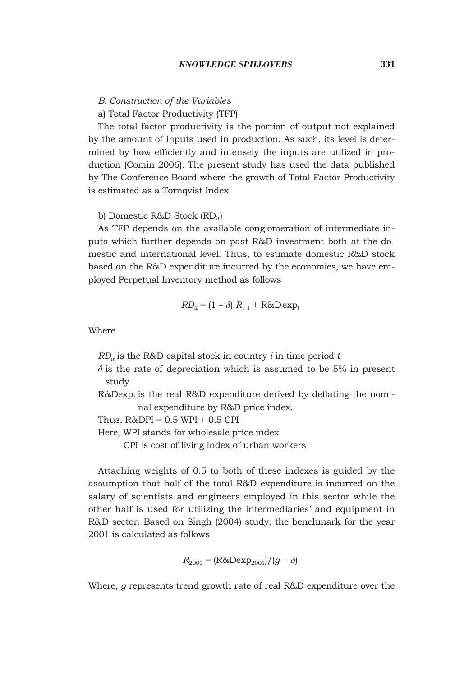*B. Construction of the Variables*

### a) Total Factor Productivity (TFP)

The total factor productivity is the portion of output not explained by the amount of inputs used in production. As such, its level is determined by how efficiently and intensely the inputs are utilized in production (Comin 2006). The present study has used the data published by The Conference Board where the growth of Total Factor Productivity is estimated as a Tornqvist Index.

### b) Domestic R&D Stock (RD<sub>it</sub>)

As TFP depends on the available conglomeration of intermediate inputs which further depends on past R&D investment both at the domestic and international level. Thus, to estimate domestic R&D stock based on the R&D expenditure incurred by the economies, we have employed Perpetual Inventory method as follows

$$
RD_{it} = (1 - \delta) R_{t-1} + R \& D \exp_t
$$

**Where** 

 $RD_{it}$  is the R&D capital stock in country *i* in time period *t* 

 $\delta$  is the rate of depreciation which is assumed to be 5% in present study

 $R&Dexp<sub>t</sub>$  is the real  $R&D$  expenditure derived by deflating the nominal expenditure by R&D price index.

Thus,  $R&DPI = 0.5 WPI + 0.5 CPI$ 

Here, WPI stands for wholesale price index

CPI is cost of living index of urban workers

Attaching weights of 0.5 to both of these indexes is guided by the assumption that half of the total R&D expenditure is incurred on the salary of scientists and engineers employed in this sector while the other half is used for utilizing the intermediaries' and equipment in R&D sector. Based on Singh (2004) study, the benchmark for the year 2001 is calculated as follows

$$
R_{2001} = (R\&Dexp_{2001})/(g+\delta)
$$

Where, *g* represents trend growth rate of real R&D expenditure over the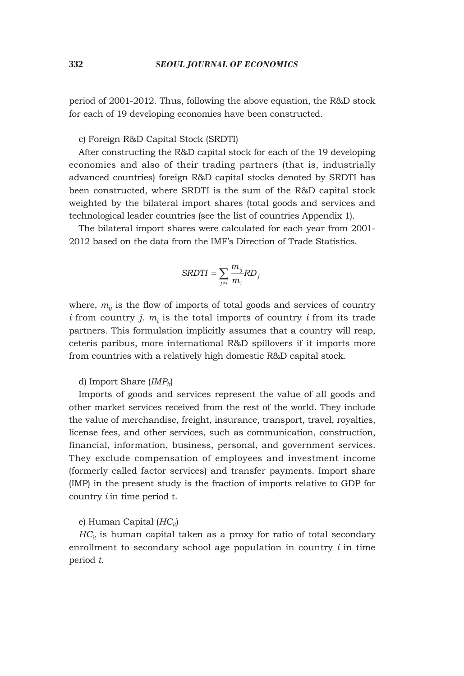period of 2001-2012. Thus, following the above equation, the R&D stock for each of 19 developing economies have been constructed.

c) Foreign R&D Capital Stock (SRDTI)

After constructing the R&D capital stock for each of the 19 developing economies and also of their trading partners (that is, industrially advanced countries) foreign R&D capital stocks denoted by SRDTI has been constructed, where SRDTI is the sum of the R&D capital stock weighted by the bilateral import shares (total goods and services and technological leader countries (see the list of countries Appendix 1).

The bilateral import shares were calculated for each year from 2001- 2012 based on the data from the IMF's Direction of Trade Statistics.

$$
SRDTI = \sum_{j \neq i} \frac{m_{ij}}{m_i} RD_j
$$

where,  $m_{ij}$  is the flow of imports of total goods and services of country *i* from country *j.*  $m_i$  is the total imports of country *i* from its trade partners. This formulation implicitly assumes that a country will reap, ceteris paribus, more international R&D spillovers if it imports more from countries with a relatively high domestic R&D capital stock.

### d) Import Share (*IMPit*)

Imports of goods and services represent the value of all goods and other market services received from the rest of the world. They include the value of merchandise, freight, insurance, transport, travel, royalties, license fees, and other services, such as communication, construction, financial, information, business, personal, and government services. They exclude compensation of employees and investment income (formerly called factor services) and transfer payments. Import share (IMP) in the present study is the fraction of imports relative to GDP for country *i* in time period t.

### e) Human Capital (*HCit*)

 $HC_{it}$  is human capital taken as a proxy for ratio of total secondary enrollment to secondary school age population in country *i* in time period *t*.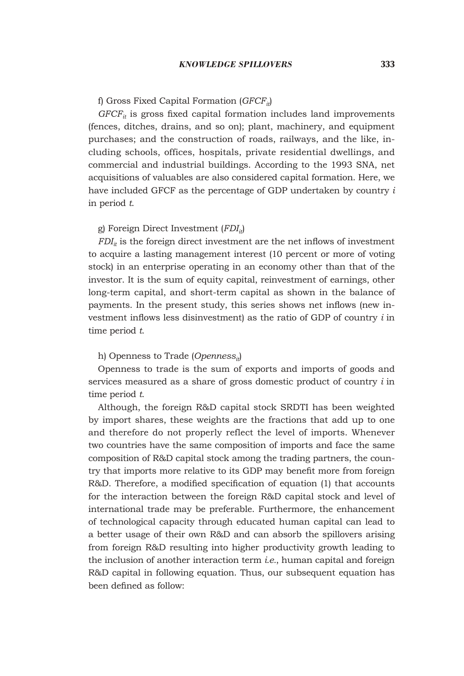#### f) Gross Fixed Capital Formation (*GFCFit*)

 $GFCF<sub>it</sub>$  is gross fixed capital formation includes land improvements (fences, ditches, drains, and so on); plant, machinery, and equipment purchases; and the construction of roads, railways, and the like, including schools, offices, hospitals, private residential dwellings, and commercial and industrial buildings. According to the 1993 SNA, net acquisitions of valuables are also considered capital formation. Here, we have included GFCF as the percentage of GDP undertaken by country *i* in period *t*.

### g) Foreign Direct Investment (*FDIit*)

 $FDI<sub>it</sub>$  is the foreign direct investment are the net inflows of investment to acquire a lasting management interest (10 percent or more of voting stock) in an enterprise operating in an economy other than that of the investor. It is the sum of equity capital, reinvestment of earnings, other long-term capital, and short-term capital as shown in the balance of payments. In the present study, this series shows net inflows (new investment inflows less disinvestment) as the ratio of GDP of country *i* in time period *t*.

#### h) Openness to Trade (*Opennessit*)

Openness to trade is the sum of exports and imports of goods and services measured as a share of gross domestic product of country *i* in time period *t*.

Although, the foreign R&D capital stock SRDTI has been weighted by import shares, these weights are the fractions that add up to one and therefore do not properly reflect the level of imports. Whenever two countries have the same composition of imports and face the same composition of R&D capital stock among the trading partners, the country that imports more relative to its GDP may benefit more from foreign R&D. Therefore, a modified specification of equation (1) that accounts for the interaction between the foreign R&D capital stock and level of international trade may be preferable. Furthermore, the enhancement of technological capacity through educated human capital can lead to a better usage of their own R&D and can absorb the spillovers arising from foreign R&D resulting into higher productivity growth leading to the inclusion of another interaction term *i.e.*, human capital and foreign R&D capital in following equation. Thus, our subsequent equation has been defined as follow: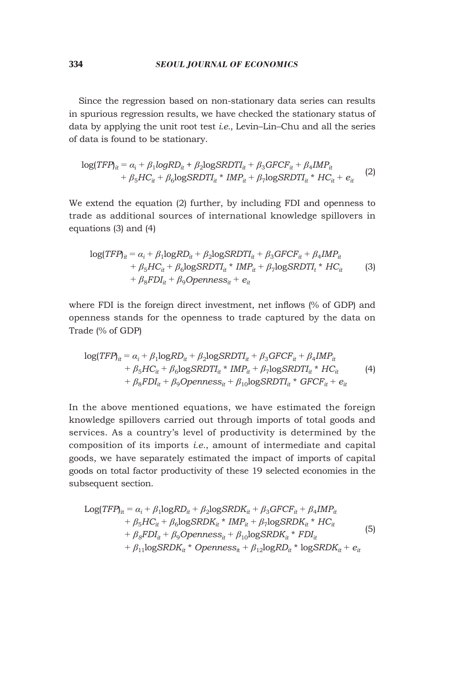Since the regression based on non-stationary data series can results in spurious regression results, we have checked the stationary status of data by applying the unit root test *i.e.*, Levin–Lin–Chu and all the series of data is found to be stationary.

$$
log(TFP)_{it} = \alpha_i + \beta_1 logRD_{it} + \beta_2 logSRDTI_{it} + \beta_3 GFCF_{it} + \beta_4 IMP_{it}
$$
  
+  $\beta_5 HC_{it} + \beta_6 logSRDTI_{it} * IMP_{it} + \beta_7 logSRDTI_{it} * HC_{it} + e_{it}$  (2)

We extend the equation (2) further, by including FDI and openness to trade as additional sources of international knowledge spillovers in equations (3) and (4)

$$
log(TFP)it = \alphai + \beta1logRDit + \beta2logSRDTit + \beta3GFCFit + \beta4MPit+ \beta5HCit + \beta6logSRDTIit * IMPit + \beta7logSRDTIt * HCit (3)+ \beta8FDIit + \beta9Opennessit + eit
$$

where FDI is the foreign direct investment, net inflows (% of GDP) and openness stands for the openness to trade captured by the data on Trade (% of GDP)

$$
log(TFP)_{it} = \alpha_i + \beta_1 logRD_{it} + \beta_2 logSRDTI_{it} + \beta_3 GFCF_{it} + \beta_4 IMP_{it}
$$
  
+  $\beta_5 HC_{it} + \beta_6 logSRDTI_{it} * IMP_{it} + \beta_7 logSRDTI_{it} * HC_{it}$   
+  $\beta_8 FDI_{it} + \beta_9 Openness_{it} + \beta_{10} logSRDTI_{it} * GFCF_{it} + e_{it}$  (4)

In the above mentioned equations, we have estimated the foreign knowledge spillovers carried out through imports of total goods and services. As a country's level of productivity is determined by the composition of its imports *i.e.*, amount of intermediate and capital goods, we have separately estimated the impact of imports of capital goods on total factor productivity of these 19 selected economies in the subsequent section.

$$
Log(TFP)_{it} = \alpha_i + \beta_1 logRD_{it} + \beta_2 logSRDK_{it} + \beta_3 GFCF_{it} + \beta_4 IMP_{it}
$$
  
+  $\beta_5 HC_{it} + \beta_6 logSRDK_{it} * IMP_{it} + \beta_7 logSRDK_{it} * HC_{it}$   
+  $\beta_8 FDI_{it} + \beta_9 Openness_{it} + \beta_{10} logSRDK_{it} * FDI_{it}$   
+  $\beta_{11} logSRDK_{it} * Openness_{it} + \beta_{12} logRD_{it} * logSRDK_{it} + e_{it}$  (5)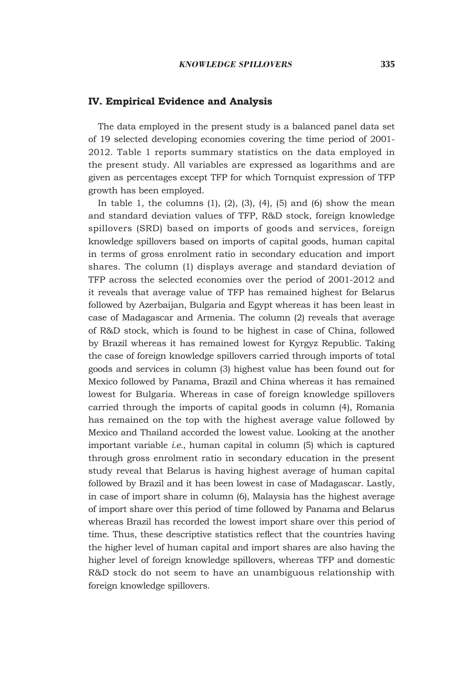#### **IV. Empirical Evidence and Analysis**

The data employed in the present study is a balanced panel data set of 19 selected developing economies covering the time period of 2001- 2012. Table 1 reports summary statistics on the data employed in the present study. All variables are expressed as logarithms and are given as percentages except TFP for which Tornquist expression of TFP growth has been employed.

In table 1, the columns  $(1)$ ,  $(2)$ ,  $(3)$ ,  $(4)$ ,  $(5)$  and  $(6)$  show the mean and standard deviation values of TFP, R&D stock, foreign knowledge spillovers (SRD) based on imports of goods and services, foreign knowledge spillovers based on imports of capital goods, human capital in terms of gross enrolment ratio in secondary education and import shares. The column (1) displays average and standard deviation of TFP across the selected economies over the period of 2001-2012 and it reveals that average value of TFP has remained highest for Belarus followed by Azerbaijan, Bulgaria and Egypt whereas it has been least in case of Madagascar and Armenia. The column (2) reveals that average of R&D stock, which is found to be highest in case of China, followed by Brazil whereas it has remained lowest for Kyrgyz Republic. Taking the case of foreign knowledge spillovers carried through imports of total goods and services in column (3) highest value has been found out for Mexico followed by Panama, Brazil and China whereas it has remained lowest for Bulgaria. Whereas in case of foreign knowledge spillovers carried through the imports of capital goods in column (4), Romania has remained on the top with the highest average value followed by Mexico and Thailand accorded the lowest value. Looking at the another important variable *i.e.*, human capital in column (5) which is captured through gross enrolment ratio in secondary education in the present study reveal that Belarus is having highest average of human capital followed by Brazil and it has been lowest in case of Madagascar. Lastly, in case of import share in column (6), Malaysia has the highest average of import share over this period of time followed by Panama and Belarus whereas Brazil has recorded the lowest import share over this period of time. Thus, these descriptive statistics reflect that the countries having the higher level of human capital and import shares are also having the higher level of foreign knowledge spillovers, whereas TFP and domestic R&D stock do not seem to have an unambiguous relationship with foreign knowledge spillovers.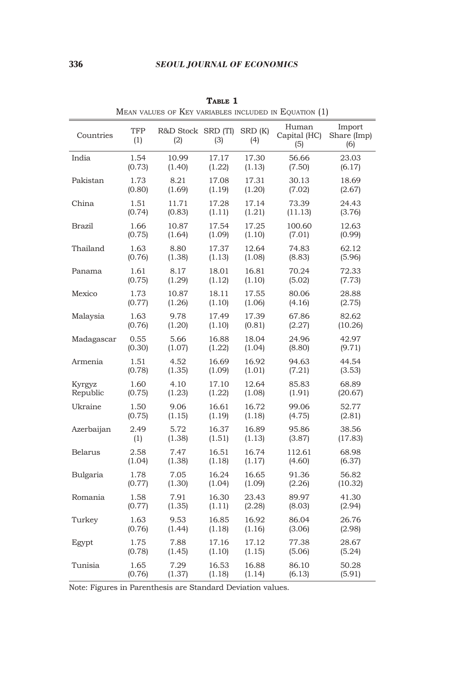### 336 *SEOUL JOURNAL OF ECONOMICS*

| Countries      | TFP<br>(1) | R&D Stock SRD (TI)<br>(2) | (3)    | SRD (K)<br>(4) | Human<br>Capital (HC)<br>(5) | Import<br>Share (Imp)<br>(6) |
|----------------|------------|---------------------------|--------|----------------|------------------------------|------------------------------|
| India          | 1.54       | 10.99                     | 17.17  | 17.30          | 56.66                        | 23.03                        |
|                | (0.73)     | (1.40)                    | (1.22) | (1.13)         | (7.50)                       | (6.17)                       |
| Pakistan       | 1.73       | 8.21                      | 17.08  | 17.31          | 30.13                        | 18.69                        |
|                | (0.80)     | (1.69)                    | (1.19) | (1.20)         | (7.02)                       | (2.67)                       |
| China          | 1.51       | 11.71                     | 17.28  | 17.14          | 73.39                        | 24.43                        |
|                | (0.74)     | (0.83)                    | (1.11) | (1.21)         | (11.13)                      | (3.76)                       |
| <b>Brazil</b>  | 1.66       | 10.87                     | 17.54  | 17.25          | 100.60                       | 12.63                        |
|                | (0.75)     | (1.64)                    | (1.09) | (1.10)         | (7.01)                       | (0.99)                       |
| Thailand       | 1.63       | 8.80                      | 17.37  | 12.64          | 74.83                        | 62.12                        |
|                | (0.76)     | (1.38)                    | (1.13) | (1.08)         | (8.83)                       | (5.96)                       |
| Panama         | 1.61       | 8.17                      | 18.01  | 16.81          | 70.24                        | 72.33                        |
|                | (0.75)     | (1.29)                    | (1.12) | (1.10)         | (5.02)                       | (7.73)                       |
| Mexico         | 1.73       | 10.87                     | 18.11  | 17.55          | 80.06                        | 28.88                        |
|                | (0.77)     | (1.26)                    | (1.10) | (1.06)         | (4.16)                       | (2.75)                       |
| Malaysia       | 1.63       | 9.78                      | 17.49  | 17.39          | 67.86                        | 82.62                        |
|                | (0.76)     | (1.20)                    | (1.10) | (0.81)         | (2.27)                       | (10.26)                      |
| Madagascar     | 0.55       | 5.66                      | 16.88  | 18.04          | 24.96                        | 42.97                        |
|                | (0.30)     | (1.07)                    | (1.22) | (1.04)         | (8.80)                       | (9.71)                       |
| Armenia        | 1.51       | 4.52                      | 16.69  | 16.92          | 94.63                        | 44.54                        |
|                | (0.78)     | (1.35)                    | (1.09) | (1.01)         | (7.21)                       | (3.53)                       |
| Kyrgyz         | 1.60       | 4.10                      | 17.10  | 12.64          | 85.83                        | 68.89                        |
| Republic       | (0.75)     | (1.23)                    | (1.22) | (1.08)         | (1.91)                       | (20.67)                      |
| Ukraine        | 1.50       | 9.06                      | 16.61  | 16.72          | 99.06                        | 52.77                        |
|                | (0.75)     | (1.15)                    | (1.19) | (1.18)         | (4.75)                       | (2.81)                       |
| Azerbaijan     | 2.49       | 5.72                      | 16.37  | 16.89          | 95.86                        | 38.56                        |
|                | (1)        | (1.38)                    | (1.51) | (1.13)         | (3.87)                       | (17.83)                      |
| <b>Belarus</b> | 2.58       | 7.47                      | 16.51  | 16.74          | 112.61                       | 68.98                        |
|                | (1.04)     | (1.38)                    | (1.18) | (1.17)         | (4.60)                       | (6.37)                       |
| Bulgaria       | 1.78       | 7.05                      | 16.24  | 16.65          | 91.36                        | 56.82                        |
|                | (0.77)     | (1.30)                    | (1.04) | (1.09)         | (2.26)                       | (10.32)                      |
| Romania        | 1.58       | 7.91                      | 16.30  | 23.43          | 89.97                        | 41.30                        |
|                | (0.77)     | (1.35)                    | (1.11) | (2.28)         | (8.03)                       | (2.94)                       |
| Turkey         | 1.63       | 9.53                      | 16.85  | 16.92          | 86.04                        | 26.76                        |
|                | (0.76)     | (1.44)                    | (1.18) | (1.16)         | (3.06)                       | (2.98)                       |
| Egypt          | 1.75       | 7.88                      | 17.16  | 17.12          | 77.38                        | 28.67                        |
|                | (0.78)     | (1.45)                    | (1.10) | (1.15)         | (5.06)                       | (5.24)                       |
| Tunisia        | 1.65       | 7.29                      | 16.53  | 16.88          | 86.10                        | 50.28                        |
|                | (0.76)     | (1.37)                    | (1.18) | (1.14)         | (6.13)                       | (5.91)                       |

**Table 1** Mean values of Key variables included in Equation (1)

Note: Figures in Parenthesis are Standard Deviation values.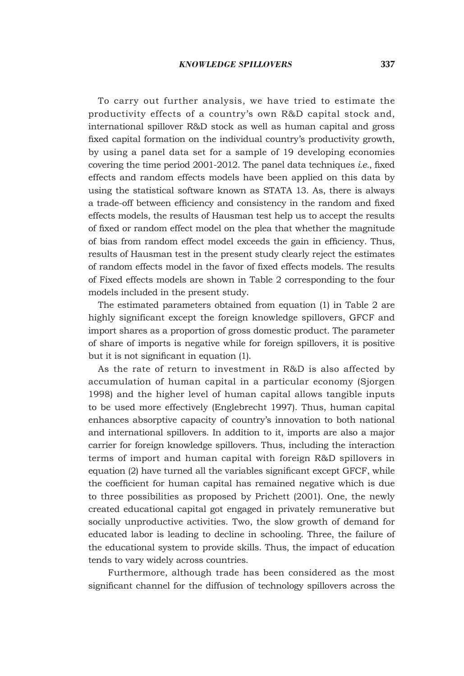To carry out further analysis, we have tried to estimate the productivity effects of a country's own R&D capital stock and, international spillover R&D stock as well as human capital and gross fixed capital formation on the individual country's productivity growth, by using a panel data set for a sample of 19 developing economies covering the time period 2001-2012. The panel data techniques *i.e.*, fixed effects and random effects models have been applied on this data by using the statistical software known as STATA 13. As, there is always a trade-off between efficiency and consistency in the random and fixed effects models, the results of Hausman test help us to accept the results of fixed or random effect model on the plea that whether the magnitude of bias from random effect model exceeds the gain in efficiency. Thus, results of Hausman test in the present study clearly reject the estimates of random effects model in the favor of fixed effects models. The results of Fixed effects models are shown in Table 2 corresponding to the four models included in the present study.

The estimated parameters obtained from equation (1) in Table 2 are highly significant except the foreign knowledge spillovers, GFCF and import shares as a proportion of gross domestic product. The parameter of share of imports is negative while for foreign spillovers, it is positive but it is not significant in equation (1).

As the rate of return to investment in R&D is also affected by accumulation of human capital in a particular economy (Sjorgen 1998) and the higher level of human capital allows tangible inputs to be used more effectively (Englebrecht 1997). Thus, human capital enhances absorptive capacity of country's innovation to both national and international spillovers. In addition to it, imports are also a major carrier for foreign knowledge spillovers. Thus, including the interaction terms of import and human capital with foreign R&D spillovers in equation (2) have turned all the variables significant except GFCF, while the coefficient for human capital has remained negative which is due to three possibilities as proposed by Prichett (2001). One, the newly created educational capital got engaged in privately remunerative but socially unproductive activities. Two, the slow growth of demand for educated labor is leading to decline in schooling. Three, the failure of the educational system to provide skills. Thus, the impact of education tends to vary widely across countries.

Furthermore, although trade has been considered as the most significant channel for the diffusion of technology spillovers across the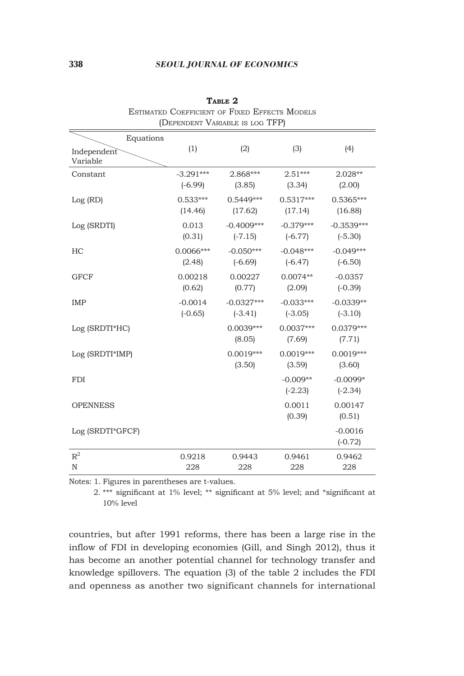### 338 *SEOUL JOURNAL OF ECONOMICS*

| Estimated Coefficient of Fixed Effects Models<br>(DEPENDENT VARIABLE IS LOG TFP) |                          |                           |                          |                           |  |  |
|----------------------------------------------------------------------------------|--------------------------|---------------------------|--------------------------|---------------------------|--|--|
| Equations                                                                        |                          |                           |                          |                           |  |  |
| Independent<br>Variable                                                          | (1)                      | (2)                       | (3)                      | (4)                       |  |  |
| Constant                                                                         | $-3.291***$<br>$(-6.99)$ | 2.868***<br>(3.85)        | $2.51***$<br>(3.34)      | $2.028**$<br>(2.00)       |  |  |
| Log(RD)                                                                          | $0.533***$<br>(14.46)    | $0.5449***$<br>(17.62)    | $0.5317***$<br>(17.14)   | $0.5365***$<br>(16.88)    |  |  |
| Log (SRDTI)                                                                      | 0.013<br>(0.31)          | $-0.4009***$<br>$(-7.15)$ | $-0.379***$<br>$(-6.77)$ | $-0.3539***$<br>$(-5.30)$ |  |  |
| HC                                                                               | $0.0066***$<br>(2.48)    | $-0.050***$<br>$(-6.69)$  | $-0.048***$<br>$(-6.47)$ | $-0.049***$<br>$(-6.50)$  |  |  |
| <b>GFCF</b>                                                                      | 0.00218<br>(0.62)        | 0.00227<br>(0.77)         | $0.0074**$<br>(2.09)     | $-0.0357$<br>$(-0.39)$    |  |  |
| <b>IMP</b>                                                                       | $-0.0014$<br>$(-0.65)$   | $-0.0327***$<br>$(-3.41)$ | $-0.033***$<br>$(-3.05)$ | $-0.0339**$<br>$(-3.10)$  |  |  |
| Log (SRDTI*HC)                                                                   |                          | $0.0039***$<br>(8.05)     | $0.0037***$<br>(7.69)    | $0.0379***$<br>(7.71)     |  |  |
| Log (SRDTI*IMP)                                                                  |                          | $0.0019***$<br>(3.50)     | $0.0019***$<br>(3.59)    | $0.0019***$<br>(3.60)     |  |  |
| <b>FDI</b>                                                                       |                          |                           | $-0.009**$<br>$(-2.23)$  | $-0.0099*$<br>$(-2.34)$   |  |  |
| <b>OPENNESS</b>                                                                  |                          |                           | 0.0011<br>(0.39)         | 0.00147<br>(0.51)         |  |  |
| Log (SRDTI*GFCF)                                                                 |                          |                           |                          | $-0.0016$<br>$(-0.72)$    |  |  |
| $\mathbb{R}^2$                                                                   | 0.9218                   | 0.9443                    | 0.9461                   | 0.9462                    |  |  |
| $\mathbf N$                                                                      | 228                      | 228                       | 228                      | 228                       |  |  |

TABLE 2 Estimated Coefficient of Fixed Effects Models

Notes: 1. Figures in parentheses are t-values.

 2. \*\*\* significant at 1% level; \*\* significant at 5% level; and \*significant at 10% level

countries, but after 1991 reforms, there has been a large rise in the inflow of FDI in developing economies (Gill, and Singh 2012), thus it has become an another potential channel for technology transfer and knowledge spillovers. The equation (3) of the table 2 includes the FDI and openness as another two significant channels for international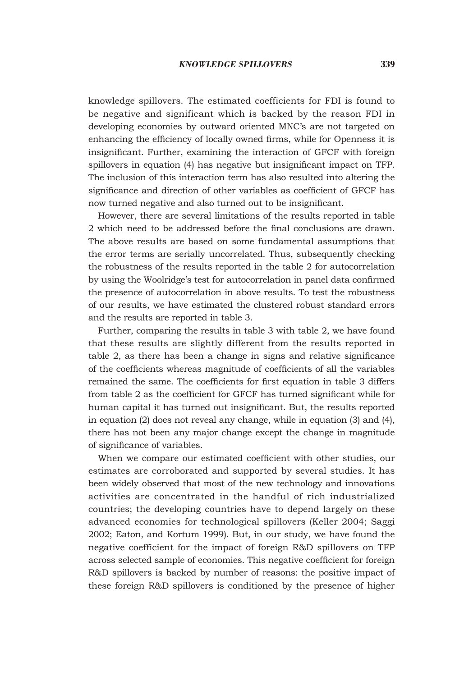knowledge spillovers. The estimated coefficients for FDI is found to be negative and significant which is backed by the reason FDI in developing economies by outward oriented MNC's are not targeted on enhancing the efficiency of locally owned firms, while for Openness it is insignificant. Further, examining the interaction of GFCF with foreign spillovers in equation (4) has negative but insignificant impact on TFP. The inclusion of this interaction term has also resulted into altering the significance and direction of other variables as coefficient of GFCF has now turned negative and also turned out to be insignificant.

However, there are several limitations of the results reported in table 2 which need to be addressed before the final conclusions are drawn. The above results are based on some fundamental assumptions that the error terms are serially uncorrelated. Thus, subsequently checking the robustness of the results reported in the table 2 for autocorrelation by using the Woolridge's test for autocorrelation in panel data confirmed the presence of autocorrelation in above results. To test the robustness of our results, we have estimated the clustered robust standard errors and the results are reported in table 3.

Further, comparing the results in table 3 with table 2, we have found that these results are slightly different from the results reported in table 2, as there has been a change in signs and relative significance of the coefficients whereas magnitude of coefficients of all the variables remained the same. The coefficients for first equation in table 3 differs from table 2 as the coefficient for GFCF has turned significant while for human capital it has turned out insignificant. But, the results reported in equation (2) does not reveal any change, while in equation (3) and (4), there has not been any major change except the change in magnitude of significance of variables.

When we compare our estimated coefficient with other studies, our estimates are corroborated and supported by several studies. It has been widely observed that most of the new technology and innovations activities are concentrated in the handful of rich industrialized countries; the developing countries have to depend largely on these advanced economies for technological spillovers (Keller 2004; Saggi 2002; Eaton, and Kortum 1999). But, in our study, we have found the negative coefficient for the impact of foreign R&D spillovers on TFP across selected sample of economies. This negative coefficient for foreign R&D spillovers is backed by number of reasons: the positive impact of these foreign R&D spillovers is conditioned by the presence of higher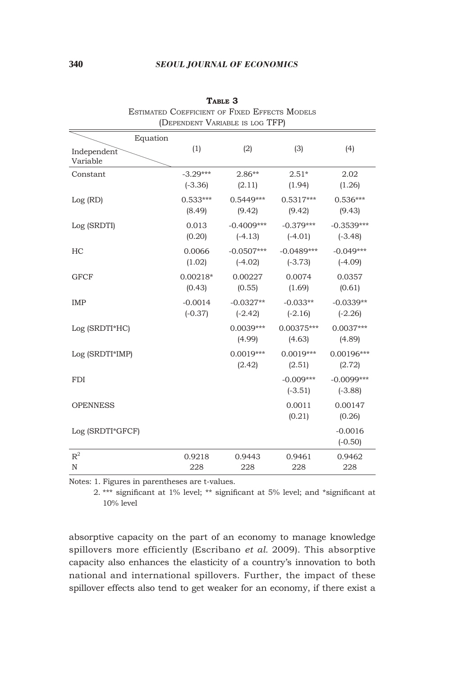### 340 *SEOUL JOURNAL OF ECONOMICS*

| ESTIMATED COEFFICIENT OF FIXED EFFECTS MODELS<br>(DEPENDENT VARIABLE IS LOG TFP) |                         |                           |                           |                           |  |  |
|----------------------------------------------------------------------------------|-------------------------|---------------------------|---------------------------|---------------------------|--|--|
| Equation                                                                         |                         |                           |                           |                           |  |  |
| Independent<br>Variable                                                          | (1)                     | (2)                       | (3)                       | (4)                       |  |  |
| Constant                                                                         | $-3.29***$<br>$(-3.36)$ | $2.86**$<br>(2.11)        | $2.51*$<br>(1.94)         | 2.02<br>(1.26)            |  |  |
| Log (RD)                                                                         | $0.533***$<br>(8.49)    | $0.5449***$<br>(9.42)     | $0.5317***$<br>(9.42)     | $0.536***$<br>(9.43)      |  |  |
| Log (SRDTI)                                                                      | 0.013<br>(0.20)         | $-0.4009***$<br>$(-4.13)$ | $-0.379***$<br>$(-4.01)$  | $-0.3539***$<br>$(-3.48)$ |  |  |
| HC                                                                               | 0.0066<br>(1.02)        | $-0.0507***$<br>$(-4.02)$ | $-0.0489***$<br>$(-3.73)$ | $-0.049***$<br>$(-4.09)$  |  |  |
| <b>GFCF</b>                                                                      | $0.00218*$<br>(0.43)    | 0.00227<br>(0.55)         | 0.0074<br>(1.69)          | 0.0357<br>(0.61)          |  |  |
| IMP                                                                              | $-0.0014$<br>$(-0.37)$  | $-0.0327**$<br>$(-2.42)$  | $-0.033**$<br>$(-2.16)$   | $-0.0339**$<br>$(-2.26)$  |  |  |
| Log (SRDTI*HC)                                                                   |                         | $0.0039***$<br>(4.99)     | 0.00375***<br>(4.63)      | $0.0037***$<br>(4.89)     |  |  |
| Log (SRDTI*IMP)                                                                  |                         | $0.0019***$<br>(2.42)     | $0.0019***$<br>(2.51)     | 0.00196***<br>(2.72)      |  |  |
| <b>FDI</b>                                                                       |                         |                           | $-0.009***$<br>$(-3.51)$  | $-0.0099***$<br>$(-3.88)$ |  |  |
| <b>OPENNESS</b>                                                                  |                         |                           | 0.0011<br>(0.21)          | 0.00147<br>(0.26)         |  |  |
| Log (SRDTI*GFCF)                                                                 |                         |                           |                           | $-0.0016$<br>$(-0.50)$    |  |  |
| $\mathbb{R}^2$                                                                   | 0.9218                  | 0.9443                    | 0.9461                    | 0.9462                    |  |  |
| $\mathbf N$                                                                      | 228                     | 228                       | 228                       | 228                       |  |  |

 $T_{\text{ARLE}}$  3 Estimated Coefficient of Fixed Effects Models

Notes: 1. Figures in parentheses are t-values.

 2. \*\*\* significant at 1% level; \*\* significant at 5% level; and \*significant at 10% level

absorptive capacity on the part of an economy to manage knowledge spillovers more efficiently (Escribano *et al.* 2009). This absorptive capacity also enhances the elasticity of a country's innovation to both national and international spillovers. Further, the impact of these spillover effects also tend to get weaker for an economy, if there exist a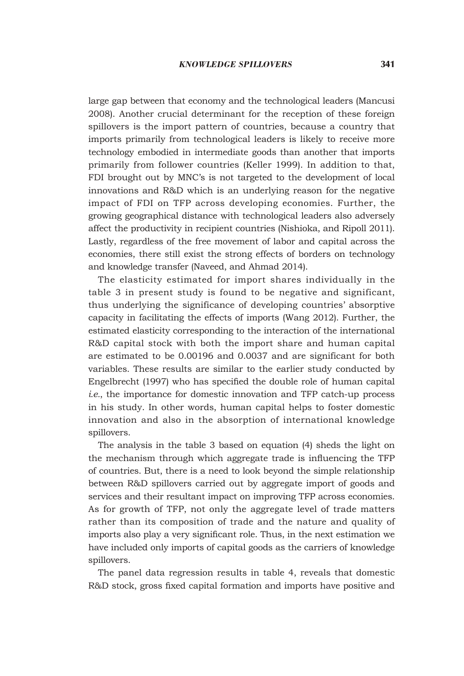large gap between that economy and the technological leaders (Mancusi 2008). Another crucial determinant for the reception of these foreign spillovers is the import pattern of countries, because a country that imports primarily from technological leaders is likely to receive more technology embodied in intermediate goods than another that imports primarily from follower countries (Keller 1999). In addition to that, FDI brought out by MNC's is not targeted to the development of local innovations and R&D which is an underlying reason for the negative impact of FDI on TFP across developing economies. Further, the growing geographical distance with technological leaders also adversely affect the productivity in recipient countries (Nishioka, and Ripoll 2011). Lastly, regardless of the free movement of labor and capital across the economies, there still exist the strong effects of borders on technology and knowledge transfer (Naveed, and Ahmad 2014).

The elasticity estimated for import shares individually in the table 3 in present study is found to be negative and significant, thus underlying the significance of developing countries' absorptive capacity in facilitating the effects of imports (Wang 2012). Further, the estimated elasticity corresponding to the interaction of the international R&D capital stock with both the import share and human capital are estimated to be 0.00196 and 0.0037 and are significant for both variables. These results are similar to the earlier study conducted by Engelbrecht (1997) who has specified the double role of human capital *i.e.*, the importance for domestic innovation and TFP catch-up process in his study. In other words, human capital helps to foster domestic innovation and also in the absorption of international knowledge spillovers.

The analysis in the table 3 based on equation (4) sheds the light on the mechanism through which aggregate trade is influencing the TFP of countries. But, there is a need to look beyond the simple relationship between R&D spillovers carried out by aggregate import of goods and services and their resultant impact on improving TFP across economies. As for growth of TFP, not only the aggregate level of trade matters rather than its composition of trade and the nature and quality of imports also play a very significant role. Thus, in the next estimation we have included only imports of capital goods as the carriers of knowledge spillovers.

The panel data regression results in table 4, reveals that domestic R&D stock, gross fixed capital formation and imports have positive and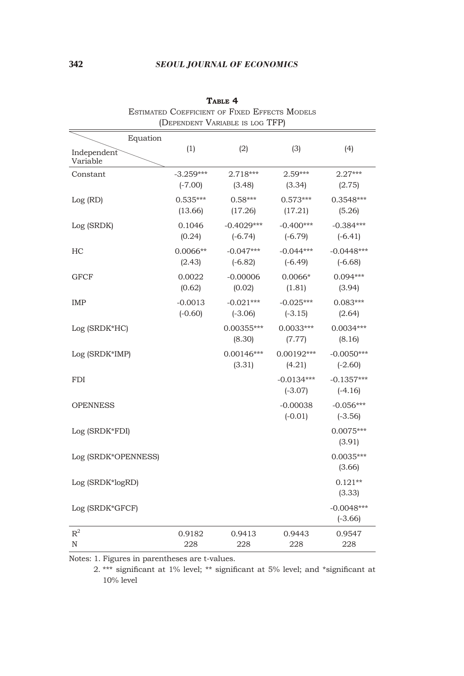### 342 *SEOUL JOURNAL OF ECONOMICS*

| ESTIMATED COEFFICIENT OF FIXED EFFECTS MODELS<br>(DEPENDENT VARIABLE IS LOG TFP) |                          |                           |                           |                           |  |  |
|----------------------------------------------------------------------------------|--------------------------|---------------------------|---------------------------|---------------------------|--|--|
| Equation                                                                         |                          |                           |                           |                           |  |  |
| Independent<br>Variable                                                          | (1)                      | (2)                       | (3)                       | (4)                       |  |  |
| Constant                                                                         | $-3.259***$<br>$(-7.00)$ | $2.718***$<br>(3.48)      | $2.59***$<br>(3.34)       | $2.27***$<br>(2.75)       |  |  |
| Log (RD)                                                                         | $0.535***$<br>(13.66)    | $0.58***$<br>(17.26)      | $0.573***$<br>(17.21)     | $0.3548***$<br>(5.26)     |  |  |
| Log (SRDK)                                                                       | 0.1046<br>(0.24)         | $-0.4029***$<br>$(-6.74)$ | $-0.400***$<br>$(-6.79)$  | $-0.384***$<br>$(-6.41)$  |  |  |
| НC                                                                               | $0.0066**$<br>(2.43)     | $-0.047***$<br>$(-6.82)$  | $-0.044***$<br>$(-6.49)$  | $-0.0448***$<br>$(-6.68)$ |  |  |
| <b>GFCF</b>                                                                      | 0.0022<br>(0.62)         | $-0.00006$<br>(0.02)      | $0.0066*$<br>(1.81)       | $0.094***$<br>(3.94)      |  |  |
| IMP                                                                              | $-0.0013$<br>$(-0.60)$   | $-0.021***$<br>$(-3.06)$  | $-0.025***$<br>$(-3.15)$  | $0.083***$<br>(2.64)      |  |  |
| Log (SRDK*HC)                                                                    |                          | 0.00355***<br>(8.30)      | $0.0033***$<br>(7.77)     | $0.0034***$<br>(8.16)     |  |  |
| Log (SRDK*IMP)                                                                   |                          | $0.00146***$<br>(3.31)    | $0.00192***$<br>(4.21)    | $-0.0050***$<br>$(-2.60)$ |  |  |
| <b>FDI</b>                                                                       |                          |                           | $-0.0134***$<br>$(-3.07)$ | $-0.1357***$<br>$(-4.16)$ |  |  |
| <b>OPENNESS</b>                                                                  |                          |                           | $-0.00038$<br>$(-0.01)$   | $-0.056***$<br>$(-3.56)$  |  |  |
| Log (SRDK*FDI)                                                                   |                          |                           |                           | $0.0075***$<br>(3.91)     |  |  |
| Log (SRDK*OPENNESS)                                                              |                          |                           |                           | $0.0035***$<br>(3.66)     |  |  |
| Log (SRDK*logRD)                                                                 |                          |                           |                           | $0.121**$<br>(3.33)       |  |  |
| Log (SRDK*GFCF)                                                                  |                          |                           |                           | $-0.0048***$<br>$(-3.66)$ |  |  |
| $R^2$<br>N                                                                       | 0.9182<br>228            | 0.9413<br>228             | 0.9443<br>228             | 0.9547<br>228             |  |  |

**Table 4**

Notes: 1. Figures in parentheses are t-values.

 2. \*\*\* significant at 1% level; \*\* significant at 5% level; and \*significant at 10% level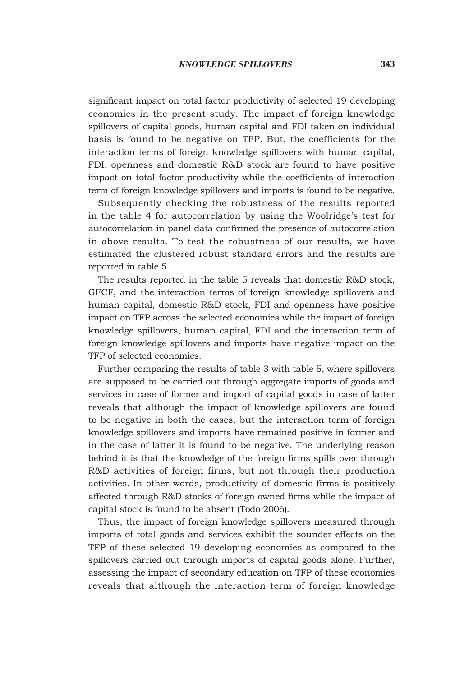significant impact on total factor productivity of selected 19 developing economies in the present study. The impact of foreign knowledge spillovers of capital goods, human capital and FDI taken on individual basis is found to be negative on TFP. But, the coefficients for the interaction terms of foreign knowledge spillovers with human capital, FDI, openness and domestic R&D stock are found to have positive impact on total factor productivity while the coefficients of interaction term of foreign knowledge spillovers and imports is found to be negative.

Subsequently checking the robustness of the results reported in the table 4 for autocorrelation by using the Woolridge's test for autocorrelation in panel data confirmed the presence of autocorrelation in above results. To test the robustness of our results, we have estimated the clustered robust standard errors and the results are reported in table 5.

The results reported in the table 5 reveals that domestic R&D stock, GFCF, and the interaction terms of foreign knowledge spillovers and human capital, domestic R&D stock, FDI and openness have positive impact on TFP across the selected economies while the impact of foreign knowledge spillovers, human capital, FDI and the interaction term of foreign knowledge spillovers and imports have negative impact on the TFP of selected economies.

Further comparing the results of table 3 with table 5, where spillovers are supposed to be carried out through aggregate imports of goods and services in case of former and import of capital goods in case of latter reveals that although the impact of knowledge spillovers are found to be negative in both the cases, but the interaction term of foreign knowledge spillovers and imports have remained positive in former and in the case of latter it is found to be negative. The underlying reason behind it is that the knowledge of the foreign firms spills over through R&D activities of foreign firms, but not through their production activities. In other words, productivity of domestic firms is positively affected through R&D stocks of foreign owned firms while the impact of capital stock is found to be absent (Todo 2006).

Thus, the impact of foreign knowledge spillovers measured through imports of total goods and services exhibit the sounder effects on the TFP of these selected 19 developing economies as compared to the spillovers carried out through imports of capital goods alone. Further, assessing the impact of secondary education on TFP of these economies reveals that although the interaction term of foreign knowledge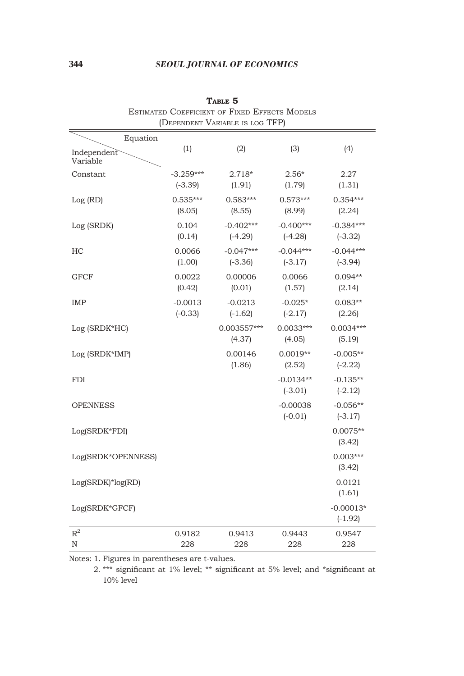### 344 *SEOUL JOURNAL OF ECONOMICS*

| ESTIMATED COEFFICIENT OF FIXED EFFECTS MODELS<br>(DEPENDENT VARIABLE IS LOG TFP) |                          |                          |                          |                          |  |
|----------------------------------------------------------------------------------|--------------------------|--------------------------|--------------------------|--------------------------|--|
| Equation                                                                         |                          |                          |                          |                          |  |
| Independent<br>Variable                                                          | (1)                      | (2)                      | (3)                      | (4)                      |  |
| Constant                                                                         | $-3.259***$<br>$(-3.39)$ | $2.718*$<br>(1.91)       | $2.56*$<br>(1.79)        | 2.27<br>(1.31)           |  |
| Log (RD)                                                                         | $0.535***$<br>(8.05)     | $0.583***$<br>(8.55)     | $0.573***$<br>(8.99)     | $0.354***$<br>(2.24)     |  |
| Log (SRDK)                                                                       | 0.104<br>(0.14)          | $-0.402***$<br>$(-4.29)$ | $-0.400***$<br>$(-4.28)$ | $-0.384***$<br>$(-3.32)$ |  |
| НC                                                                               | 0.0066<br>(1.00)         | $-0.047***$<br>$(-3.36)$ | $-0.044***$<br>$(-3.17)$ | $-0.044***$<br>$(-3.94)$ |  |
| <b>GFCF</b>                                                                      | 0.0022<br>(0.42)         | 0.00006<br>(0.01)        | 0.0066<br>(1.57)         | $0.094**$<br>(2.14)      |  |
| IMP                                                                              | $-0.0013$<br>$(-0.33)$   | $-0.0213$<br>$(-1.62)$   | $-0.025*$<br>$(-2.17)$   | $0.083**$<br>(2.26)      |  |
| Log (SRDK*HC)                                                                    |                          | 0.003557***<br>(4.37)    | $0.0033***$<br>(4.05)    | $0.0034***$<br>(5.19)    |  |
| Log (SRDK*IMP)                                                                   |                          | 0.00146<br>(1.86)        | $0.0019**$<br>(2.52)     | $-0.005**$<br>$(-2.22)$  |  |
| <b>FDI</b>                                                                       |                          |                          | $-0.0134**$<br>$(-3.01)$ | $-0.135**$<br>$(-2.12)$  |  |
| <b>OPENNESS</b>                                                                  |                          |                          | $-0.00038$<br>$(-0.01)$  | $-0.056**$<br>$(-3.17)$  |  |
| Log(SRDK*FDI)                                                                    |                          |                          |                          | $0.0075**$<br>(3.42)     |  |
| Log(SRDK*OPENNESS)                                                               |                          |                          |                          | $0.003***$<br>(3.42)     |  |
| $Log(SRDK)*log(RD)$                                                              |                          |                          |                          | 0.0121<br>(1.61)         |  |
| Log(SRDK*GFCF)                                                                   |                          |                          |                          | $-0.00013*$<br>$(-1.92)$ |  |
| $\mathbb{R}^2$<br>N                                                              | 0.9182<br>228            | 0.9413<br>228            | 0.9443<br>228            | 0.9547<br>228            |  |

**Table 5** Estimated Coefficient of Fixed Effects Models

Notes: 1. Figures in parentheses are t-values.

 2. \*\*\* significant at 1% level; \*\* significant at 5% level; and \*significant at 10% level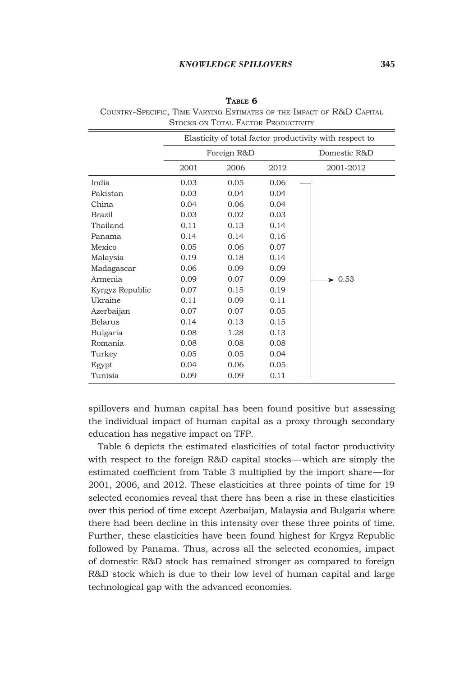#### *KNOWLEDGE SPILLOVERS* 345

| Elasticity of total factor productivity with respect to |      |      |                            |  |
|---------------------------------------------------------|------|------|----------------------------|--|
| Foreign R&D                                             |      |      | Domestic R&D               |  |
| 2001                                                    | 2006 | 2012 | 2001-2012                  |  |
| 0.03                                                    | 0.05 | 0.06 |                            |  |
| 0.03                                                    | 0.04 | 0.04 |                            |  |
| 0.04                                                    | 0.06 | 0.04 |                            |  |
| 0.03                                                    | 0.02 | 0.03 |                            |  |
| 0.11                                                    | 0.13 | 0.14 |                            |  |
| 0.14                                                    | 0.14 | 0.16 |                            |  |
| 0.05                                                    | 0.06 | 0.07 |                            |  |
| 0.19                                                    | 0.18 | 0.14 |                            |  |
| 0.06                                                    | 0.09 | 0.09 |                            |  |
| 0.09                                                    | 0.07 | 0.09 | $\blacktriangleright$ 0.53 |  |
| 0.07                                                    | 0.15 | 0.19 |                            |  |
| 0.11                                                    | 0.09 | 0.11 |                            |  |
| 0.07                                                    | 0.07 | 0.05 |                            |  |
| 0.14                                                    | 0.13 | 0.15 |                            |  |
| 0.08                                                    | 1.28 | 0.13 |                            |  |
| 0.08                                                    | 0.08 | 0.08 |                            |  |
| 0.05                                                    | 0.05 | 0.04 |                            |  |
| 0.04                                                    | 0.06 | 0.05 |                            |  |
| 0.09                                                    | 0.09 | 0.11 |                            |  |
|                                                         |      |      |                            |  |

**Table 6** Country-Specific, Time Varying Estimates of the Impact of R&D Capital STOCKS ON TOTAL FACTOR PRODUCTIVITY

spillovers and human capital has been found positive but assessing the individual impact of human capital as a proxy through secondary education has negative impact on TFP.

Table 6 depicts the estimated elasticities of total factor productivity with respect to the foreign R&D capital stocks—which are simply the estimated coefficient from Table 3 multiplied by the import share—for 2001, 2006, and 2012. These elasticities at three points of time for 19 selected economies reveal that there has been a rise in these elasticities over this period of time except Azerbaijan, Malaysia and Bulgaria where there had been decline in this intensity over these three points of time. Further, these elasticities have been found highest for Krgyz Republic followed by Panama. Thus, across all the selected economies, impact of domestic R&D stock has remained stronger as compared to foreign R&D stock which is due to their low level of human capital and large technological gap with the advanced economies.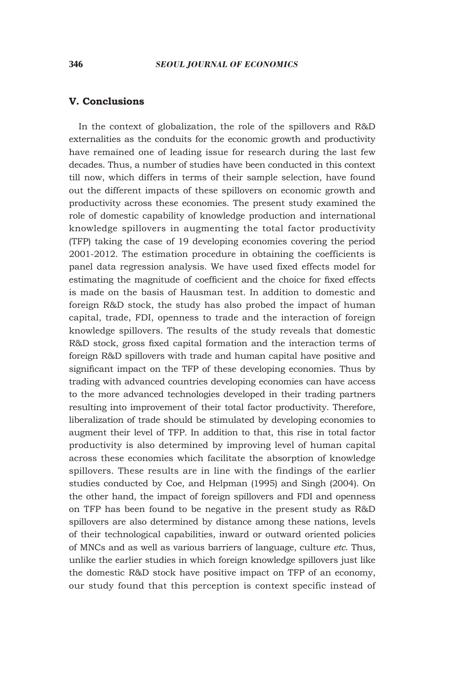#### **V. Conclusions**

In the context of globalization, the role of the spillovers and R&D externalities as the conduits for the economic growth and productivity have remained one of leading issue for research during the last few decades. Thus, a number of studies have been conducted in this context till now, which differs in terms of their sample selection, have found out the different impacts of these spillovers on economic growth and productivity across these economies. The present study examined the role of domestic capability of knowledge production and international knowledge spillovers in augmenting the total factor productivity (TFP) taking the case of 19 developing economies covering the period 2001-2012. The estimation procedure in obtaining the coefficients is panel data regression analysis. We have used fixed effects model for estimating the magnitude of coefficient and the choice for fixed effects is made on the basis of Hausman test. In addition to domestic and foreign R&D stock, the study has also probed the impact of human capital, trade, FDI, openness to trade and the interaction of foreign knowledge spillovers. The results of the study reveals that domestic R&D stock, gross fixed capital formation and the interaction terms of foreign R&D spillovers with trade and human capital have positive and significant impact on the TFP of these developing economies. Thus by trading with advanced countries developing economies can have access to the more advanced technologies developed in their trading partners resulting into improvement of their total factor productivity. Therefore, liberalization of trade should be stimulated by developing economies to augment their level of TFP. In addition to that, this rise in total factor productivity is also determined by improving level of human capital across these economies which facilitate the absorption of knowledge spillovers. These results are in line with the findings of the earlier studies conducted by Coe, and Helpman (1995) and Singh (2004). On the other hand, the impact of foreign spillovers and FDI and openness on TFP has been found to be negative in the present study as R&D spillovers are also determined by distance among these nations, levels of their technological capabilities, inward or outward oriented policies of MNCs and as well as various barriers of language, culture *etc*. Thus, unlike the earlier studies in which foreign knowledge spillovers just like the domestic R&D stock have positive impact on TFP of an economy, our study found that this perception is context specific instead of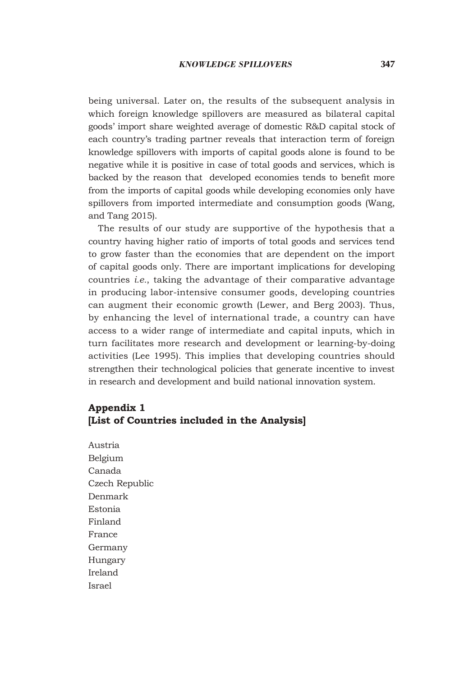being universal. Later on, the results of the subsequent analysis in which foreign knowledge spillovers are measured as bilateral capital goods' import share weighted average of domestic R&D capital stock of each country's trading partner reveals that interaction term of foreign knowledge spillovers with imports of capital goods alone is found to be negative while it is positive in case of total goods and services, which is backed by the reason that developed economies tends to benefit more from the imports of capital goods while developing economies only have spillovers from imported intermediate and consumption goods (Wang, and Tang 2015).

The results of our study are supportive of the hypothesis that a country having higher ratio of imports of total goods and services tend to grow faster than the economies that are dependent on the import of capital goods only. There are important implications for developing countries *i.e.*, taking the advantage of their comparative advantage in producing labor-intensive consumer goods, developing countries can augment their economic growth (Lewer, and Berg 2003). Thus, by enhancing the level of international trade, a country can have access to a wider range of intermediate and capital inputs, which in turn facilitates more research and development or learning-by-doing activities (Lee 1995). This implies that developing countries should strengthen their technological policies that generate incentive to invest in research and development and build national innovation system.

# **Appendix 1 [List of Countries included in the Analysis]**

Austria Belgium Canada Czech Republic Denmark Estonia Finland France Germany Hungary Ireland Israel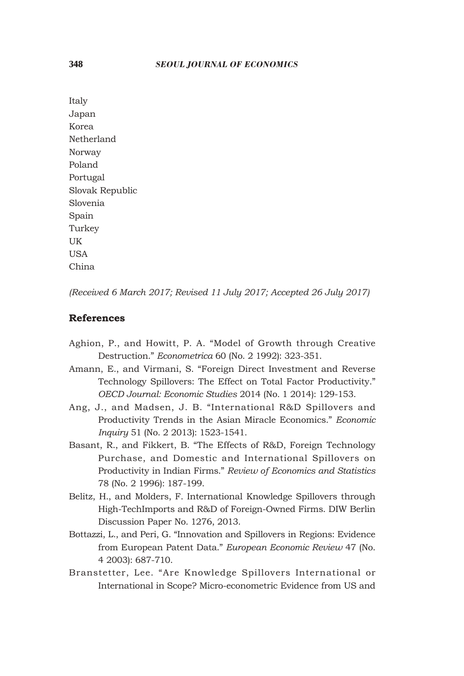Italy Japan Korea Netherland Norway Poland Portugal Slovak Republic Slovenia Spain Turkey UK **USA** China

*(Received 6 March 2017; Revised 11 July 2017; Accepted 26 July 2017)*

### **References**

- Aghion, P., and Howitt, P. A. "Model of Growth through Creative Destruction." *Econometrica* 60 (No. 2 1992): 323-351.
- Amann, E., and Virmani, S. "Foreign Direct Investment and Reverse Technology Spillovers: The Effect on Total Factor Productivity." *OECD Journal: Economic Studies* 2014 (No. 1 2014): 129-153.
- Ang, J., and Madsen, J. B. "International R&D Spillovers and Productivity Trends in the Asian Miracle Economics." *Economic Inquiry* 51 (No. 2 2013): 1523-1541.
- Basant, R., and Fikkert, B. "The Effects of R&D, Foreign Technology Purchase, and Domestic and International Spillovers on Productivity in Indian Firms." *Review of Economics and Statistics* 78 (No. 2 1996): 187-199.
- Belitz, H., and Molders, F. International Knowledge Spillovers through High-TechImports and R&D of Foreign-Owned Firms. DIW Berlin Discussion Paper No. 1276, 2013.
- Bottazzi, L., and Peri, G. "Innovation and Spillovers in Regions: Evidence from European Patent Data." *European Economic Review* 47 (No. 4 2003): 687-710.
- Branstetter, Lee. "Are Knowledge Spillovers International or International in Scope? Micro-econometric Evidence from US and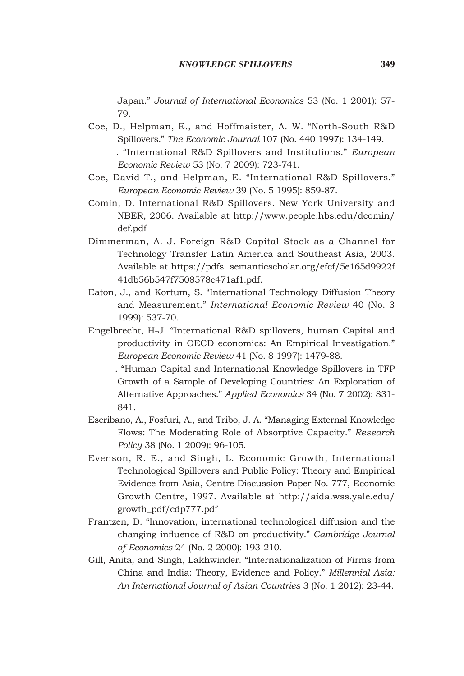Japan." *Journal of International Economics* 53 (No. 1 2001): 57- 79.

- Coe, D., Helpman, E., and Hoffmaister, A. W. "North-South R&D Spillovers." *The Economic Journal* 107 (No. 440 1997): 134-149. . "International R&D Spillovers and Institutions." *European* 
	- *Economic Review* 53 (No. 7 2009): 723-741.
- Coe, David T., and Helpman, E. "International R&D Spillovers." *European Economic Review* 39 (No. 5 1995): 859-87.
- Comin, D. International R&D Spillovers. New York University and NBER, 2006. Available at http://www.people.hbs.edu/dcomin/ def.pdf
- Dimmerman, A. J. Foreign R&D Capital Stock as a Channel for Technology Transfer Latin America and Southeast Asia, 2003. Available at https://pdfs. semanticscholar.org/efcf/5e165d9922f 41db56b547f7508578c471af1.pdf.
- Eaton, J., and Kortum, S. "International Technology Diffusion Theory and Measurement." *International Economic Review* 40 (No. 3 1999): 537-70.
- Engelbrecht, H-J. "International R&D spillovers, human Capital and productivity in OECD economics: An Empirical Investigation." *European Economic Review* 41 (No. 8 1997): 1479-88.
- . "Human Capital and International Knowledge Spillovers in TFP Growth of a Sample of Developing Countries: An Exploration of Alternative Approaches." *Applied Economics* 34 (No. 7 2002): 831- 841.
- Escribano, A., Fosfuri, A., and Tribo, J. A. "Managing External Knowledge Flows: The Moderating Role of Absorptive Capacity." *Research Policy* 38 (No. 1 2009): 96-105.
- Evenson, R. E., and Singh, L. Economic Growth, International Technological Spillovers and Public Policy: Theory and Empirical Evidence from Asia, Centre Discussion Paper No. 777, Economic Growth Centre, 1997. Available at http://aida.wss.yale.edu/ growth\_pdf/cdp777.pdf
- Frantzen, D. "Innovation, international technological diffusion and the changing influence of R&D on productivity." *Cambridge Journal of Economics* 24 (No. 2 2000): 193-210.
- Gill, Anita, and Singh, Lakhwinder. "Internationalization of Firms from China and India: Theory, Evidence and Policy." *Millennial Asia: An International Journal of Asian Countries* 3 (No. 1 2012): 23-44.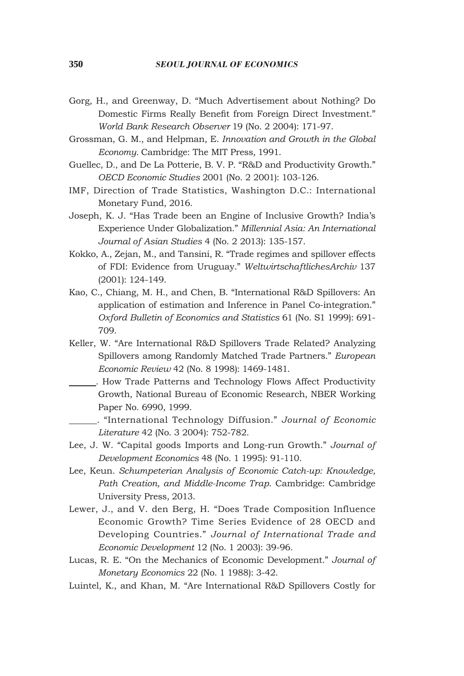- Gorg, H., and Greenway, D. "Much Advertisement about Nothing? Do Domestic Firms Really Benefit from Foreign Direct Investment." *World Bank Research Observer* 19 (No. 2 2004): 171-97.
- Grossman, G. M., and Helpman, E. *Innovation and Growth in the Global Economy.* Cambridge: The MIT Press*,* 1991.
- Guellec, D., and De La Potterie, B. V. P. "R&D and Productivity Growth." *OECD Economic Studies* 2001 (No. 2 2001): 103-126.
- IMF, Direction of Trade Statistics, Washington D.C.: International Monetary Fund, 2016.
- Joseph, K. J. "Has Trade been an Engine of Inclusive Growth? India's Experience Under Globalization." *Millennial Asia: An International Journal of Asian Studies* 4 (No. 2 2013): 135-157.
- Kokko, A., Zejan, M., and Tansini, R. "Trade regimes and spillover effects of FDI: Evidence from Uruguay." *WeltwirtschaftlichesArchiv* 137 (2001): 124-149.
- Kao, C., Chiang, M. H., and Chen, B. "International R&D Spillovers: An application of estimation and Inference in Panel Co-integration." *Oxford Bulletin of Economics and Statistics* 61 (No. S1 1999): 691- 709.
- Keller, W. "Are International R&D Spillovers Trade Related? Analyzing Spillovers among Randomly Matched Trade Partners." *European Economic Review* 42 (No. 8 1998): 1469-1481.
- . How Trade Patterns and Technology Flows Affect Productivity Growth, National Bureau of Economic Research, NBER Working Paper No. 6990, 1999.
	- . "International Technology Diffusion." *Journal of Economic Literature* 42 (No. 3 2004): 752-782.
- Lee, J. W. "Capital goods Imports and Long-run Growth." *Journal of Development Economics* 48 (No. 1 1995): 91-110.
- Lee, Keun. *Schumpeterian Analysis of Economic Catch-up: Knowledge, Path Creation, and Middle-Income Trap*. Cambridge: Cambridge University Press*,* 2013.
- Lewer, J., and V. den Berg, H. "Does Trade Composition Influence Economic Growth? Time Series Evidence of 28 OECD and Developing Countries." *Journal of International Trade and Economic Development* 12 (No. 1 2003): 39-96.
- Lucas, R. E. "On the Mechanics of Economic Development." *Journal of Monetary Economics* 22 (No. 1 1988): 3-42.
- Luintel, K., and Khan, M. "Are International R&D Spillovers Costly for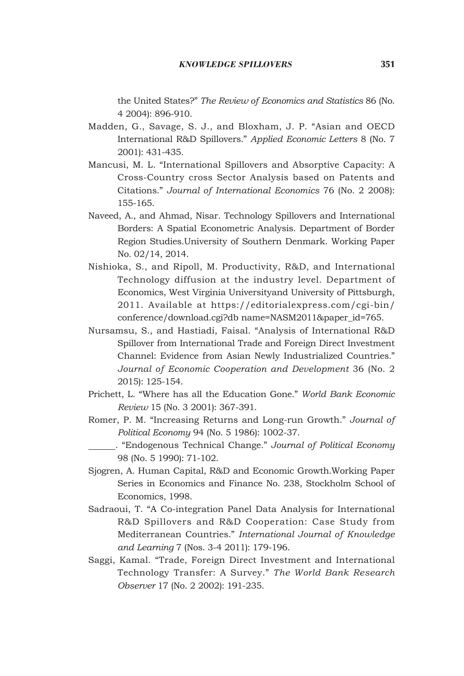the United States?" *The Review of Economics and Statistics* 86 (No. 4 2004): 896-910.

- Madden, G., Savage, S. J., and Bloxham, J. P. "Asian and OECD International R&D Spillovers." *Applied Economic Letters* 8 (No. 7 2001): 431-435.
- Mancusi, M. L. "International Spillovers and Absorptive Capacity: A Cross-Country cross Sector Analysis based on Patents and Citations." *Journal of International Economics* 76 (No. 2 2008): 155-165.
- Naveed, A., and Ahmad, Nisar. Technology Spillovers and International Borders: A Spatial Econometric Analysis. Department of Border Region Studies.University of Southern Denmark. Working Paper No. 02/14, 2014.
- Nishioka, S., and Ripoll, M. Productivity, R&D, and International Technology diffusion at the industry level. Department of Economics, West Virginia Universityand University of Pittsburgh, 2011. Available at https://editorialexpress.com/cgi-bin/ conference/download.cgi?db name=NASM2011&paper\_id=765.
- Nursamsu, S., and Hastiadi, Faisal. "Analysis of International R&D Spillover from International Trade and Foreign Direct Investment Channel: Evidence from Asian Newly Industrialized Countries*.*" *Journal of Economic Cooperation and Development* 36 (No. 2 2015): 125-154.
- Prichett, L. "Where has all the Education Gone." *World Bank Economic Review* 15 (No. 3 2001): 367-391.
- Romer, P. M. "Increasing Returns and Long-run Growth." *Journal of Political Economy* 94 (No. 5 1986): 1002-37.
	- . "Endogenous Technical Change." *Journal of Political Economy* 98 (No. 5 1990): 71-102.
- Sjogren, A. Human Capital, R&D and Economic Growth.Working Paper Series in Economics and Finance No. 238, Stockholm School of Economics, 1998.
- Sadraoui, T. "A Co-integration Panel Data Analysis for International R&D Spillovers and R&D Cooperation: Case Study from Mediterranean Countries." *International Journal of Knowledge and Learning* 7 (Nos. 3-4 2011): 179-196.
- Saggi, Kamal. "Trade, Foreign Direct Investment and International Technology Transfer: A Survey." *The World Bank Research Observer* 17 (No. 2 2002): 191-235.